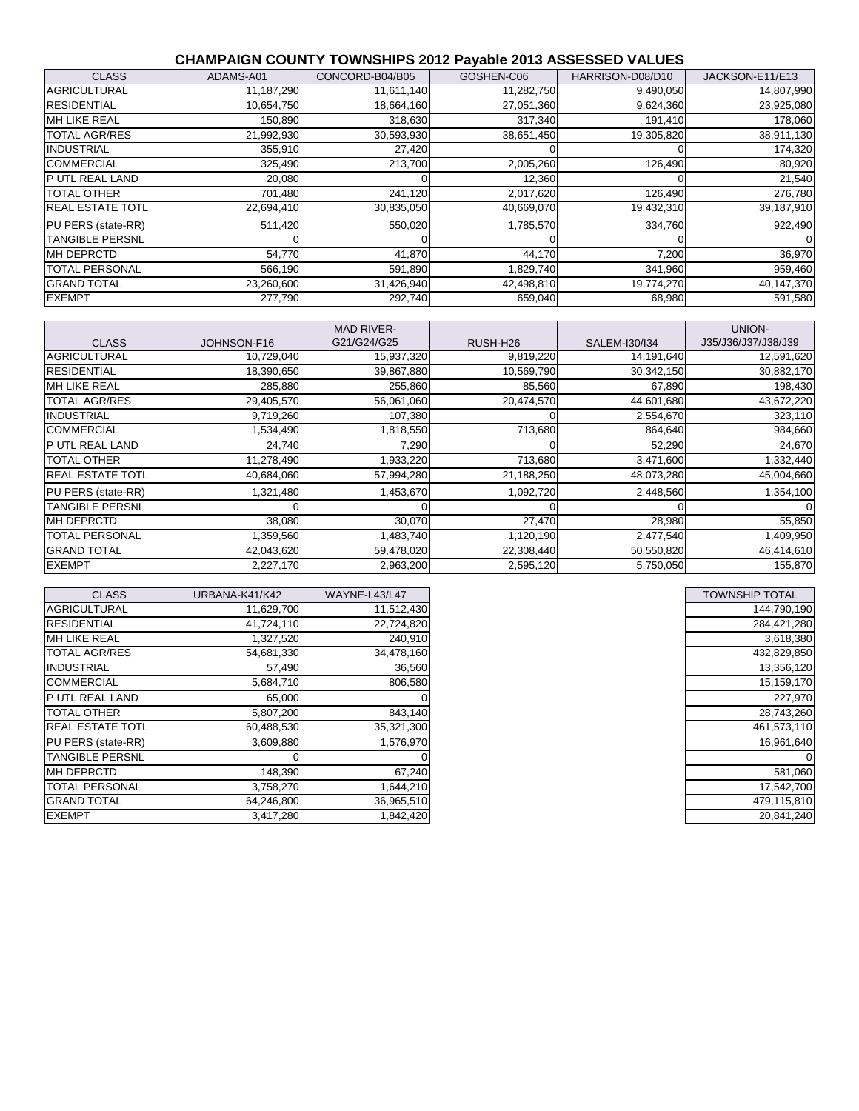### **CHAMPAIGN COUNTY TOWNSHIPS 2012 Payable 2013 ASSESSED VALUES**

| <b>CLASS</b>            | ADAMS-A01  | CONCORD-B04/B05 | GOSHEN-C06 | HARRISON-D08/D10 | JACKSON-E11/E13 |
|-------------------------|------------|-----------------|------------|------------------|-----------------|
| <b>AGRICULTURAL</b>     | 11,187,290 | 11,611,140      | 11,282,750 | 9,490,050        | 14,807,990      |
| <b>RESIDENTIAL</b>      | 10,654,750 | 18,664,160      | 27,051,360 | 9,624,360        | 23,925,080      |
| <b>MH LIKE REAL</b>     | 150,890    | 318,630         | 317,340    | 191,410          | 178,060         |
| <b>TOTAL AGR/RES</b>    | 21,992,930 | 30,593,930      | 38,651,450 | 19,305,820       | 38,911,130      |
| <b>INDUSTRIAL</b>       | 355,910    | 27,420          |            |                  | 174,320         |
| <b>COMMERCIAL</b>       | 325,490    | 213,700         | 2,005,260  | 126,490          | 80,920          |
| P UTL REAL LAND         | 20,080     |                 | 12,360     |                  | 21,540          |
| <b>TOTAL OTHER</b>      | 701,480    | 241,120         | 2,017,620  | 126,490          | 276,780         |
| <b>REAL ESTATE TOTL</b> | 22,694,410 | 30,835,050      | 40,669,070 | 19,432,310       | 39,187,910      |
| PU PERS (state-RR)      | 511,420    | 550,020         | 1,785,570  | 334,760          | 922,490         |
| <b>TANGIBLE PERSNL</b>  |            |                 |            |                  |                 |
| <b>MH DEPRCTD</b>       | 54,770     | 41,870          | 44,170     | 7,200            | 36,970          |
| <b>TOTAL PERSONAL</b>   | 566,190    | 591,890         | 1,829,740  | 341,960          | 959,460         |
| <b>GRAND TOTAL</b>      | 23,260,600 | 31,426,940      | 42,498,810 | 19,774,270       | 40,147,370      |
| <b>EXEMPT</b>           | 277,790    | 292,740         | 659,040    | 68,980           | 591,580         |

|                         |             | <b>MAD RIVER-</b> |            |               | UNION-              |
|-------------------------|-------------|-------------------|------------|---------------|---------------------|
| <b>CLASS</b>            | JOHNSON-F16 | G21/G24/G25       | RUSH-H26   | SALEM-130/134 | J35/J36/J37/J38/J39 |
| <b>AGRICULTURAL</b>     | 10,729,040  | 15,937,320        | 9,819,220  | 14,191,640    | 12,591,620          |
| <b>RESIDENTIAL</b>      | 18,390,650  | 39,867,880        | 10,569,790 | 30,342,150    | 30,882,170          |
| <b>MH LIKE REAL</b>     | 285,880     | 255,860           | 85,560     | 67,890        | 198,430             |
| <b>TOTAL AGR/RES</b>    | 29,405,570  | 56,061,060        | 20,474,570 | 44,601,680    | 43,672,220          |
| <b>INDUSTRIAL</b>       | 9,719,260   | 107,380           |            | 2,554,670     | 323,110             |
| <b>COMMERCIAL</b>       | 1,534,490   | 1,818,550         | 713,680    | 864,640       | 984,660             |
| P UTL REAL LAND         | 24,740      | 7,290             |            | 52,290        | 24,670              |
| <b>TOTAL OTHER</b>      | 11,278,490  | 1,933,220         | 713,680    | 3,471,600     | 1,332,440           |
| <b>REAL ESTATE TOTL</b> | 40,684,060  | 57,994,280        | 21,188,250 | 48,073,280    | 45,004,660          |
| PU PERS (state-RR)      | 1,321,480   | 1,453,670         | 1,092,720  | 2,448,560     | 1,354,100           |
| <b>TANGIBLE PERSNL</b>  |             |                   |            |               | 0                   |
| <b>MH DEPRCTD</b>       | 38,080      | 30,070            | 27,470     | 28,980        | 55,850              |
| <b>TOTAL PERSONAL</b>   | 1,359,560   | 1,483,740         | 1,120,190  | 2,477,540     | 1,409,950           |
| <b>GRAND TOTAL</b>      | 42,043,620  | 59,478,020        | 22,308,440 | 50,550,820    | 46,414,610          |
| <b>EXEMPT</b>           | 2,227,170   | 2,963,200         | 2,595,120  | 5,750,050     | 155,870             |

| <b>CLASS</b>            | URBANA-K41/K42 | WAYNE-L43/L47 | <b>TOWNSHIP TOTAL</b> |
|-------------------------|----------------|---------------|-----------------------|
| <b>AGRICULTURAL</b>     | 11,629,700     | 11,512,430    | 144,790,190           |
| <b>RESIDENTIAL</b>      | 41,724,110     | 22,724,820    | 284,421,280           |
| <b>MH LIKE REAL</b>     | 1,327,520      | 240,910       | 3,618,380             |
| <b>TOTAL AGR/RES</b>    | 54,681,330     | 34,478,160    | 432,829,850           |
| <b>INDUSTRIAL</b>       | 57,490         | 36,560        | 13,356,120            |
| <b>COMMERCIAL</b>       | 5,684,710      | 806,580       | 15,159,170            |
| <b>IP UTL REAL LAND</b> | 65,000         |               | 227,970               |
| <b>TOTAL OTHER</b>      | 5,807,200      | 843,140       | 28,743,260            |
| <b>REAL ESTATE TOTL</b> | 60,488,530     | 35,321,300    | 461,573,110           |
| PU PERS (state-RR)      | 3,609,880      | 1,576,970     | 16,961,640            |
| <b>TANGIBLE PERSNL</b>  |                |               |                       |
| <b>MH DEPRCTD</b>       | 148,390        | 67,240        | 581,060               |
| <b>TOTAL PERSONAL</b>   | 3,758,270      | 1,644,210     | 17,542,700            |
| <b>GRAND TOTAL</b>      | 64,246,800     | 36,965,510    | 479,115,810           |
| <b>EXEMPT</b>           | 3,417,280      | 1,842,420     | 20,841,240            |

| TOWNSHIP TOTAL |
|----------------|
| 144,790,190    |
| 284,421,280    |
| 3,618,380      |
| 432.829.850    |
| 13,356,120     |
| 15, 159, 170   |
| 227.970        |
| 28,743,260     |
| 461,573,110    |
| 16,961,640     |
|                |
| 581,060        |
| 17,542,700     |
| 479,115,810    |
| 20.841.240     |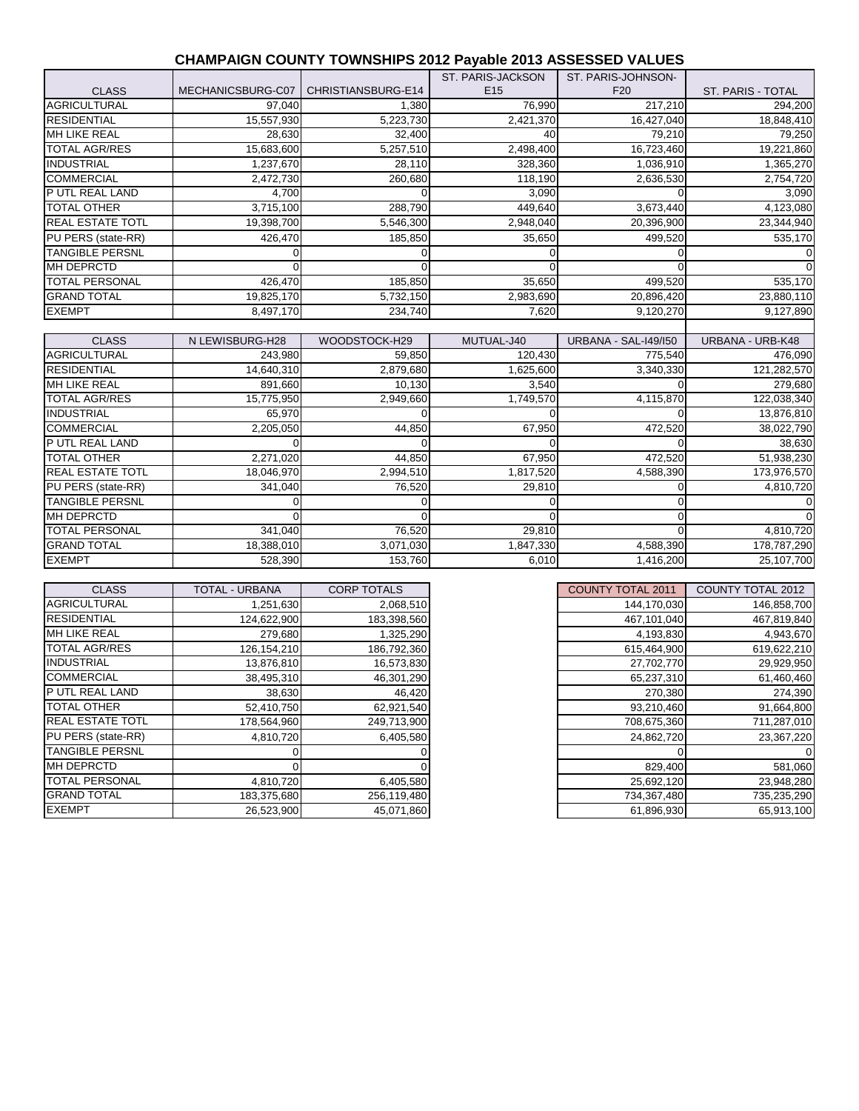## **CHAMPAIGN COUNTY TOWNSHIPS 2012 Payable 2013 ASSESSED VALUES**

|                         |                   |                    | ST. PARIS-JACKSON | ST. PARIS-JOHNSON-          |                          |
|-------------------------|-------------------|--------------------|-------------------|-----------------------------|--------------------------|
| <b>CLASS</b>            | MECHANICSBURG-C07 | CHRISTIANSBURG-E14 | E <sub>15</sub>   | F <sub>20</sub>             | <b>ST. PARIS - TOTAL</b> |
| <b>AGRICULTURAL</b>     | 97,040            | 1,380              | 76,990            | 217,210                     | 294,200                  |
| <b>RESIDENTIAL</b>      | 15,557,930        | 5,223,730          | 2,421,370         | 16,427,040                  | 18,848,410               |
| <b>MH LIKE REAL</b>     | 28,630            | 32,400             | 40                | 79,210                      | 79,250                   |
| <b>TOTAL AGR/RES</b>    | 15,683,600        | 5,257,510          | 2,498,400         | 16,723,460                  | 19,221,860               |
| <b>INDUSTRIAL</b>       | 1,237,670         | 28,110             | 328,360           | 1,036,910                   | 1,365,270                |
| <b>COMMERCIAL</b>       | 2,472,730         | 260,680            | 118,190           | 2,636,530                   | 2,754,720                |
| P UTL REAL LAND         | 4,700             |                    | 3,090             |                             | 3,090                    |
| <b>TOTAL OTHER</b>      | 3,715,100         | 288,790            | 449,640           | 3,673,440                   | 4,123,080                |
| <b>REAL ESTATE TOTL</b> | 19,398,700        | 5,546,300          | 2,948,040         | 20,396,900                  | 23,344,940               |
| PU PERS (state-RR)      | 426,470           | 185,850            | 35,650            | 499,520                     | 535,170                  |
| <b>TANGIBLE PERSNL</b>  |                   |                    |                   |                             |                          |
| <b>MH DEPRCTD</b>       |                   |                    |                   |                             |                          |
| <b>TOTAL PERSONAL</b>   | 426,470           | 185,850            | 35,650            | 499,520                     | 535,170                  |
| <b>GRAND TOTAL</b>      | 19,825,170        | 5,732,150          | 2,983,690         | 20,896,420                  | 23,880,110               |
| <b>EXEMPT</b>           | 8,497,170         | 234,740            | 7,620             | 9,120,270                   | 9,127,890                |
|                         |                   |                    |                   |                             |                          |
| <b>CLASS</b>            | N LEWISBURG-H28   | WOODSTOCK-H29      | MUTUAL-J40        | <b>URBANA - SAL-149/150</b> | URBANA - URB-K48         |
| <b>AGRICULTURAL</b>     | 243,980           | 59,850             | 120,430           | 775,540                     | 476,090                  |

| <b>ULAJJ</b>            | IN LEWIODUNU-HZ0 | <u>WUUUJIUUNTILY</u> | IVIU I UAL-J4U | UNDAINA - OAL-149/100 | UNDAINA - UND-N40 |
|-------------------------|------------------|----------------------|----------------|-----------------------|-------------------|
| <b>AGRICULTURAL</b>     | 243,980          | 59,850               | 120,430        | 775,540               | 476,090           |
| <b>RESIDENTIAL</b>      | 14,640,310       | 2,879,680            | 1,625,600      | 3,340,330             | 121,282,570       |
| MH LIKE REAL            | 891,660          | 10,130               | 3,540          |                       | 279,680           |
| <b>TOTAL AGR/RES</b>    | 15,775,950       | 2,949,660            | 1,749,570      | 4,115,870             | 122,038,340       |
| <b>INDUSTRIAL</b>       | 65,970           |                      |                |                       | 13,876,810        |
| <b>COMMERCIAL</b>       | 2,205,050        | 44,850               | 67,950         | 472,520               | 38,022,790        |
| P UTL REAL LAND         |                  |                      |                |                       | 38,630            |
| <b>TOTAL OTHER</b>      | 2,271,020        | 44,850               | 67,950         | 472,520               | 51,938,230        |
| <b>REAL ESTATE TOTL</b> | 18,046,970       | 2,994,510            | 817,520        | 4,588,390             | 173,976,570       |
| PU PERS (state-RR)      | 341,040          | 76,520               | 29,810         |                       | 4,810,720         |
| <b>TANGIBLE PERSNL</b>  |                  |                      |                |                       |                   |
| <b>MH DEPRCTD</b>       |                  |                      |                |                       |                   |
| <b>TOTAL PERSONAL</b>   | 341,040          | 76,520               | 29,810         |                       | 4,810,720         |
| <b>GRAND TOTAL</b>      | 18,388,010       | 3,071,030            | 1,847,330      | 4,588,390             | 178,787,290       |
| <b>EXEMPT</b>           | 528,390          | 153,760              | 6,010          | 1,416,200             | 25,107,700        |

| <b>COUNTY TOTAL 2011</b> | <b>COUNTY TOTAL 2012</b> |
|--------------------------|--------------------------|
| 144,170,030              | 146,858,700              |
| 467,101,040              | 467,819,840              |
| 4,193,830                | 4,943,670                |
| 615,464,900              | 619,622,210              |
| 27,702,770               | 29,929,950               |
| 65,237,310               | 61,460,460               |
| 270,380                  | 274,390                  |
| 93,210,460               | 91,664,800               |
| 708,675,360              | 711,287,010              |
| 24,862,720               | 23,367,220               |
| 0                        |                          |
| 829,400                  | 581,060                  |
| 25,692,120               | 23,948,280               |
| 734,367,480              | 735,235,290              |
| 61,896,930               | 65,913,100               |

| <b>CLASS</b>            | <b>TOTAL - URBANA</b> | <b>CORP TOTALS</b> | <b>COUNTY TOTAL 2011</b> | <b>COUNTY TOTAL 2012</b> |
|-------------------------|-----------------------|--------------------|--------------------------|--------------------------|
| <b>AGRICULTURAL</b>     | 1,251,630             | 2,068,510          | 144,170,030              | 146,858,700              |
| <b>RESIDENTIAL</b>      | 124,622,900           | 183,398,560        | 467,101,040              | 467,819,840              |
| <b>MH LIKE REAL</b>     | 279,680               | 1,325,290          | 4,193,830                | 4,943,670                |
| TOTAL AGR/RES           | 126, 154, 210         | 186,792,360        | 615,464,900              | 619,622,210              |
| <b>INDUSTRIAL</b>       | 13,876,810            | 16,573,830         | 27,702,770               | 29,929,950               |
| <b>COMMERCIAL</b>       | 38,495,310            | 46,301,290         | 65,237,310               | 61,460,460               |
| P UTL REAL LAND         | 38,630                | 46,420             | 270,380                  | 274,390                  |
| <b>TOTAL OTHER</b>      | 52,410,750            | 62,921,540         | 93,210,460               | 91,664,800               |
| <b>REAL ESTATE TOTL</b> | 178,564,960           | 249,713,900        | 708,675,360              | 711,287,010              |
| PU PERS (state-RR)      | 4,810,720             | 6,405,580          | 24,862,720               | 23,367,220               |
| <b>TANGIBLE PERSNL</b>  |                       |                    |                          |                          |
| <b>MH DEPRCTD</b>       |                       |                    | 829,400                  | 581,060                  |
| <b>TOTAL PERSONAL</b>   | 4,810,720             | 6,405,580          | 25,692,120               | 23,948,280               |
| <b>GRAND TOTAL</b>      | 183,375,680           | 256,119,480        | 734,367,480              | 735,235,290              |
| <b>EXEMPT</b>           | 26,523,900            | 45,071,860         | 61,896,930               | 65,913,100               |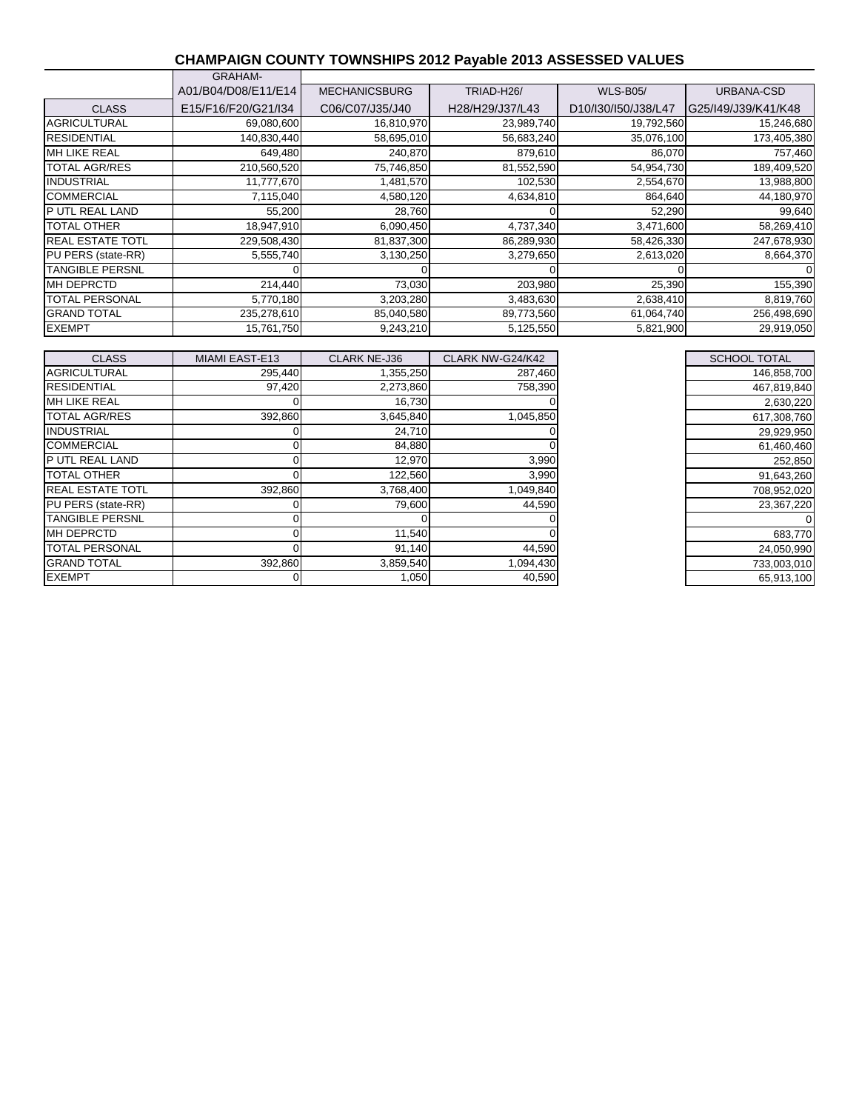## **CHAMPAIGN COUNTY TOWNSHIPS 2012 Payable 2013 ASSESSED VALUES**

|                         | <b>GRAHAM-</b>      |                      |                 |                     |                     |
|-------------------------|---------------------|----------------------|-----------------|---------------------|---------------------|
|                         | A01/B04/D08/E11/E14 | <b>MECHANICSBURG</b> | TRIAD-H26/      | <b>WLS-B05/</b>     | URBANA-CSD          |
| <b>CLASS</b>            | E15/F16/F20/G21/I34 | C06/C07/J35/J40      | H28/H29/J37/L43 | D10/I30/I50/J38/L47 | G25/149/J39/K41/K48 |
| <b>AGRICULTURAL</b>     | 69,080,600          | 16,810,970           | 23,989,740      | 19,792,560          | 15,246,680          |
| <b>RESIDENTIAL</b>      | 140,830,440         | 58,695,010           | 56,683,240      | 35,076,100          | 173,405,380         |
| <b>MH LIKE REAL</b>     | 649,480             | 240,870              | 879,610         | 86,070              | 757,460             |
| <b>TOTAL AGR/RES</b>    | 210,560,520         | 75,746,850           | 81,552,590      | 54,954,730          | 189,409,520         |
| <b>INDUSTRIAL</b>       | 11,777,670          | 1,481,570            | 102,530         | 2,554,670           | 13,988,800          |
| <b>COMMERCIAL</b>       | 7,115,040           | 4,580,120            | 4,634,810       | 864,640             | 44,180,970          |
| P UTL REAL LAND         | 55,200              | 28,760               |                 | 52,290              | 99,640              |
| <b>TOTAL OTHER</b>      | 18,947,910          | 6,090,450            | 4,737,340       | 3,471,600           | 58,269,410          |
| <b>REAL ESTATE TOTL</b> | 229,508,430         | 81,837,300           | 86,289,930      | 58,426,330          | 247,678,930         |
| PU PERS (state-RR)      | 5,555,740           | 3,130,250            | 3,279,650       | 2,613,020           | 8,664,370           |
| <b>TANGIBLE PERSNL</b>  |                     |                      |                 |                     |                     |
| MH DEPRCTD              | 214,440             | 73,030               | 203,980         | 25,390              | 155,390             |
| <b>TOTAL PERSONAL</b>   | 5,770,180           | 3,203,280            | 3,483,630       | 2,638,410           | 8,819,760           |
| <b>GRAND TOTAL</b>      | 235,278,610         | 85,040,580           | 89,773,560      | 61,064,740          | 256,498,690         |
| <b>EXEMPT</b>           | 15,761,750          | 9,243,210            | 5,125,550       | 5,821,900           | 29,919,050          |

| <b>CLASS</b>            | MIAMI EAST-E13 | <b>CLARK NE-J36</b> | CLARK NW-G24/K42 | <b>SCHOOL TOTAL</b> |
|-------------------------|----------------|---------------------|------------------|---------------------|
| <b>AGRICULTURAL</b>     | 295,440        | 1,355,250           | 287,460          | 146,858,700         |
| <b>RESIDENTIAL</b>      | 97,420         | 2,273,860           | 758,390          | 467,819,840         |
| <b>MH LIKE REAL</b>     |                | 16,730              |                  | 2,630,220           |
| <b>TOTAL AGR/RES</b>    | 392,860        | 3,645,840           | 1,045,850        | 617,308,760         |
| <b>INDUSTRIAL</b>       |                | 24,710              |                  | 29,929,950          |
| <b>COMMERCIAL</b>       |                | 84,880              |                  | 61,460,460          |
| <b>IP UTL REAL LAND</b> |                | 12,970              | 3,990            | 252,850             |
| <b>TOTAL OTHER</b>      |                | 122,560             | 3,990            | 91,643,260          |
| <b>REAL ESTATE TOTL</b> | 392,860        | 3,768,400           | 1,049,840        | 708,952,020         |
| PU PERS (state-RR)      |                | 79,600              | 44,590           | 23,367,220          |
| <b>TANGIBLE PERSNL</b>  |                |                     |                  |                     |
| <b>MH DEPRCTD</b>       |                | 11,540              |                  | 683,770             |
| <b>TOTAL PERSONAL</b>   |                | 91,140              | 44,590           | 24,050,990          |
| <b>GRAND TOTAL</b>      | 392,860        | 3,859,540           | 1,094,430        | 733,003,010         |
| <b>EXEMPT</b>           |                | 1,050               | 40,590           | 65,913,100          |

| SCHOOL TOTAL |
|--------------|
| 146,858,700  |
| 467,819,840  |
| 2,630,220    |
| 617,308,760  |
| 29,929,950   |
| 61,460,460   |
| 252,850      |
| 91.643.260   |
| 708,952,020  |
| 23,367,220   |
|              |
| 683,770      |
| 24,050,990   |
| 733,003,010  |
| 65,913,100   |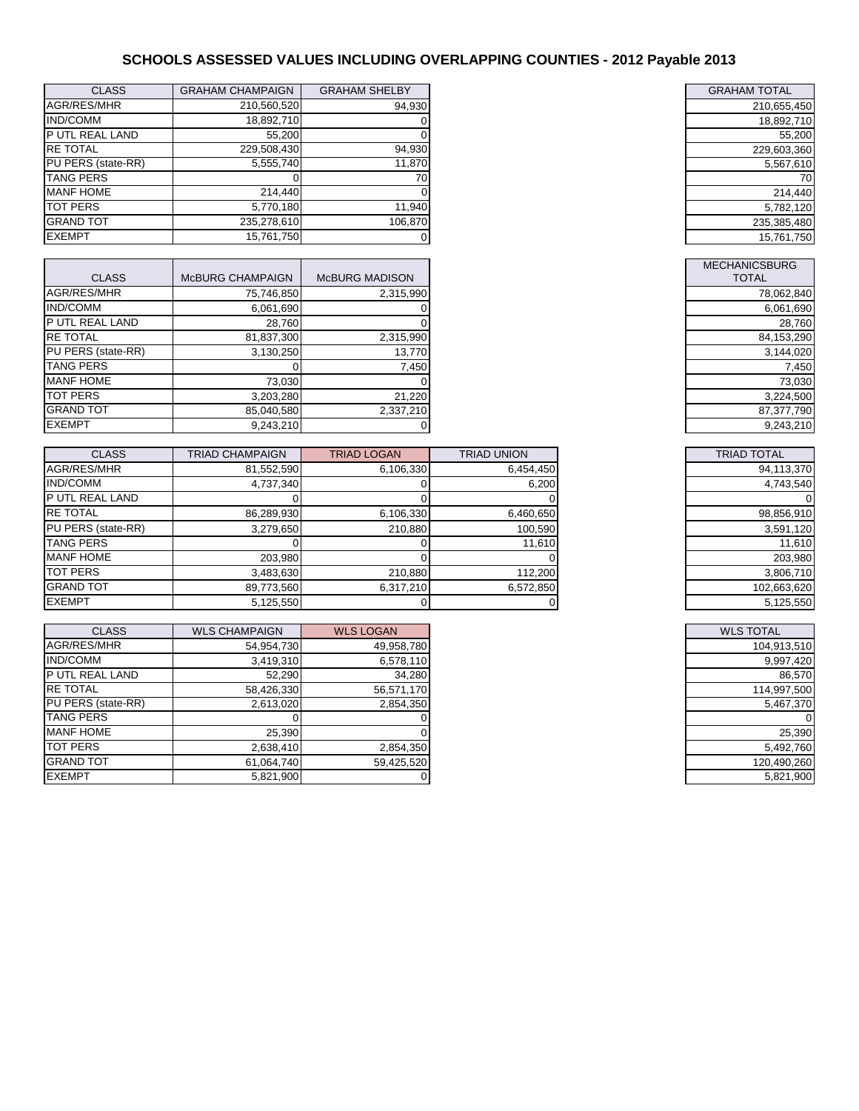## **SCHOOLS ASSESSED VALUES INCLUDING OVERLAPPING COUNTIES - 2012 Payable 2013**

| <b>CLASS</b>       | <b>GRAHAM CHAMPAIGN</b> | <b>GRAHAM SHELBY</b> | <b>GRAHAM TOTAL</b> |
|--------------------|-------------------------|----------------------|---------------------|
| AGR/RES/MHR        | 210,560,520             | 94,930               | 210,655,450         |
| <b>IND/COMM</b>    | 18,892,710              |                      | 18,892,710          |
| P UTL REAL LAND    | 55.200                  |                      | 55.200              |
| <b>RE TOTAL</b>    | 229,508,430             | 94,930               | 229,603,360         |
| PU PERS (state-RR) | 5,555,740               | 11,870               | 5,567,610           |
| <b>TANG PERS</b>   |                         |                      | 70                  |
| <b>MANF HOME</b>   | 214.440                 |                      | 214.440             |
| <b>TOT PERS</b>    | 5.770.180               | 11,940               | 5,782,120           |
| <b>GRAND TOT</b>   | 235,278,610             | 106.870              | 235,385,480         |
| <b>EXEMPT</b>      | 15.761.750              |                      | 15.761.750          |

| <b>CLASS</b>          | <b>MCBURG CHAMPAIGN</b> | <b>McBURG MADISON</b> |
|-----------------------|-------------------------|-----------------------|
| AGR/RES/MHR           | 75,746,850              | 2,315,990             |
| <b>IND/COMM</b>       | 6,061,690               |                       |
| <b>PUTL REAL LAND</b> | 28.760                  |                       |
| <b>RE TOTAL</b>       | 81,837,300              | 2,315,990             |
| PU PERS (state-RR)    | 3,130,250               | 13,770                |
| <b>TANG PERS</b>      |                         | 7,450                 |
| <b>MANF HOME</b>      | 73.030                  |                       |
| <b>TOT PERS</b>       | 3,203,280               | 21,220                |
| <b>GRAND TOT</b>      | 85,040,580              | 2,337,210             |
| <b>EXEMPT</b>         | 9,243,210               |                       |

| <b>CLASS</b>       | <b>TRIAD CHAMPAIGN</b> | <b>TRIAD LOGAN</b> | <b>TRIAD UNION</b> | <b>TRIAD TOTAL</b> |
|--------------------|------------------------|--------------------|--------------------|--------------------|
| AGR/RES/MHR        | 81,552,590             | 6,106,330          | 6,454,450          | 94,113,370         |
| <b>IND/COMM</b>    | 4,737,340              |                    | 6,200              | 4,743,540          |
| P UTL REAL LAND    |                        |                    |                    |                    |
| <b>RE TOTAL</b>    | 86,289,930             | 6,106,330          | 6,460,650          | 98,856,910         |
| PU PERS (state-RR) | 3,279,650              | 210,880            | 100,590            | 3,591,120          |
| <b>TANG PERS</b>   |                        |                    | 11,610             | 11,610             |
| <b>MANF HOME</b>   | 203.980                |                    |                    | 203,980            |
| <b>TOT PERS</b>    | 3,483,630              | 210,880            | 112,200            | 3,806,710          |
| <b>GRAND TOT</b>   | 89,773,560             | 6,317,210          | 6,572,850          | 102,663,620        |
| <b>EXEMPT</b>      | 5,125,550              |                    |                    | 5,125,550          |

| <b>CLASS</b>       | <b>WLS CHAMPAIGN</b> | <b>WLS LOGAN</b> |
|--------------------|----------------------|------------------|
| AGR/RES/MHR        | 54,954,730           | 49,958,780       |
| <b>IND/COMM</b>    | 3,419,310            | 6,578,110        |
| P UTL REAL LAND    | 52,290               | 34,280           |
| <b>RE TOTAL</b>    | 58,426,330           | 56,571,170       |
| PU PERS (state-RR) | 2,613,020            | 2,854,350        |
| <b>TANG PERS</b>   |                      |                  |
| <b>MANF HOME</b>   | 25,390               |                  |
| <b>TOT PERS</b>    | 2,638,410            | 2,854,350        |
| <b>GRAND TOT</b>   | 61,064,740           | 59,425,520       |
| <b>EXEMPT</b>      | 5,821,900            |                  |

| <b>GRAHAM TOTAL</b> |
|---------------------|
| 210,655,450         |
| 18,892,710          |
| 55,200              |
| 229,603,360         |
| 5,567,610           |
| 70                  |
| 214,440             |
| 5,782,120           |
| 235,385,480         |
| 15.761.750          |

| <b>MECHANICSBURG</b><br>TOTAL |
|-------------------------------|
| 78,062,840                    |
| 6,061,690                     |
| 28,760                        |
| 84.153.290                    |
| 3,144,020                     |
| 7.450                         |
| 73,030                        |
| 3,224,500                     |
| 87,377,790                    |
| 9,243,210                     |

| <b>TRIAD TOTAL</b> |
|--------------------|
| 94,113,370         |
| 4.743.540          |
|                    |
| 98,856,910         |
| 3,591,120          |
| 11.610             |
| 203.980            |
| 3,806,710          |
| 102,663,620        |
| 5.125.550          |

| <b>WLS TOTAL</b> |
|------------------|
| 104,913,510      |
| 9,997,420        |
| 86,570           |
| 114,997,500      |
| 5,467,370        |
|                  |
| 25,390           |
| 5,492,760        |
| 120,490,260      |
| 5.821.900        |